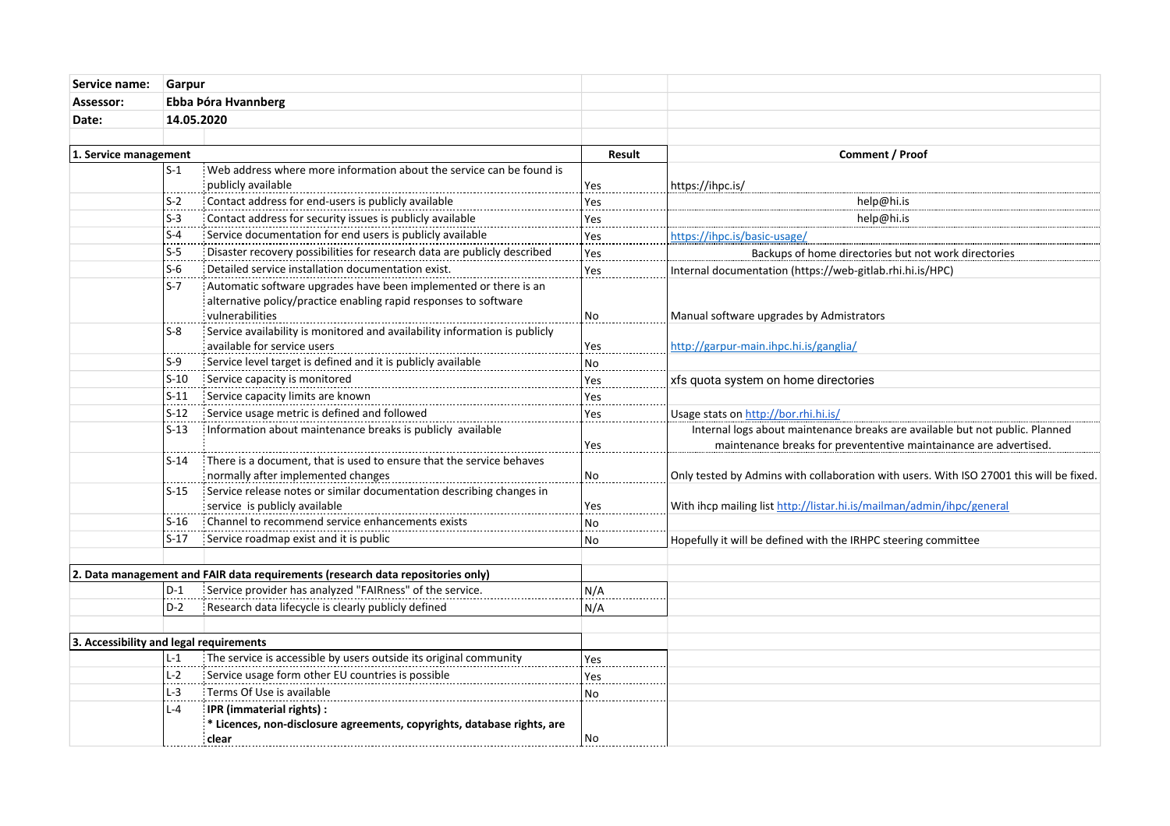| Service name:                           | Garpur<br>Ebba Þóra Hvannberg<br>14.05.2020 |                                                                                                            |           |                                                                                         |
|-----------------------------------------|---------------------------------------------|------------------------------------------------------------------------------------------------------------|-----------|-----------------------------------------------------------------------------------------|
| Assessor:                               |                                             |                                                                                                            |           |                                                                                         |
| Date:                                   |                                             |                                                                                                            |           |                                                                                         |
|                                         |                                             |                                                                                                            |           |                                                                                         |
|                                         | 1. Service management                       |                                                                                                            | Result    | Comment / Proof                                                                         |
|                                         | $S-1$                                       | Web address where more information about the service can be found is                                       |           |                                                                                         |
|                                         |                                             | publicly available                                                                                         | Yes       | https://ihpc.is/                                                                        |
|                                         | $S-2$                                       | Contact address for end-users is publicly available                                                        | Yes       | help@hi.is                                                                              |
|                                         | $S-3$                                       | Contact address for security issues is publicly available                                                  | Yes       | help@hi.is                                                                              |
|                                         | $S-4$                                       | Service documentation for end users is publicly available                                                  | Yes       | https://ihpc.is/basic-usage/                                                            |
|                                         | $S-5$                                       | Disaster recovery possibilities for research data are publicly described                                   | Yes       | Backups of home directories but not work directories                                    |
|                                         | $S-6$                                       | Detailed service installation documentation exist.                                                         | Yes       | Internal documentation (https://web-gitlab.rhi.hi.is/HPC)                               |
|                                         | $S-7$                                       | : Automatic software upgrades have been implemented or there is an                                         |           |                                                                                         |
|                                         |                                             | alternative policy/practice enabling rapid responses to software                                           |           |                                                                                         |
|                                         |                                             | vulnerabilities                                                                                            | No        | Manual software upgrades by Admistrators                                                |
|                                         | $S-8$                                       | Service availability is monitored and availability information is publicly                                 |           |                                                                                         |
|                                         | $S-9$                                       | available for service users                                                                                | Yes       | http://garpur-main.ihpc.hi.is/ganglia/                                                  |
|                                         |                                             | Service level target is defined and it is publicly available                                               | No        |                                                                                         |
|                                         | $S-10$                                      | Service capacity is monitored                                                                              | Yes       | xfs quota system on home directories                                                    |
|                                         | $S-11$                                      | Service capacity limits are known                                                                          | Yes       |                                                                                         |
|                                         | $S-12$                                      | Service usage metric is defined and followed                                                               | Yes       | Usage stats on http://bor.rhi.hi.is/                                                    |
|                                         | $S-13$                                      | Information about maintenance breaks is publicly available                                                 |           | Internal logs about maintenance breaks are available but not public. Planned            |
|                                         | $S-14$                                      |                                                                                                            | Yes       | maintenance breaks for prevententive maintainance are advertised.                       |
|                                         |                                             | There is a document, that is used to ensure that the service behaves<br>normally after implemented changes | No        | Only tested by Admins with collaboration with users. With ISO 27001 this will be fixed. |
|                                         | $S-15$                                      | Service release notes or similar documentation describing changes in                                       |           |                                                                                         |
|                                         |                                             | service is publicly available                                                                              | Yes       | With ihcp mailing list http://listar.hi.is/mailman/admin/ihpc/general                   |
|                                         | $S-16$                                      | Channel to recommend service enhancements exists                                                           | <b>No</b> |                                                                                         |
|                                         | $S-17$                                      | Service roadmap exist and it is public                                                                     | No        | Hopefully it will be defined with the IRHPC steering committee                          |
|                                         |                                             |                                                                                                            |           |                                                                                         |
|                                         |                                             | 2. Data management and FAIR data requirements (research data repositories only)                            |           |                                                                                         |
|                                         | $D-1$                                       | Service provider has analyzed "FAIRness" of the service.                                                   | N/A       |                                                                                         |
|                                         | $D-2$                                       | Research data lifecycle is clearly publicly defined                                                        | N/A       |                                                                                         |
|                                         |                                             |                                                                                                            |           |                                                                                         |
| 3. Accessibility and legal requirements |                                             |                                                                                                            |           |                                                                                         |
|                                         | $L-1$                                       | The service is accessible by users outside its original community                                          | Yes       |                                                                                         |
|                                         | $L-2$                                       | Service usage form other EU countries is possible                                                          | Yes       |                                                                                         |
|                                         | $L-3$                                       | Terms Of Use is available                                                                                  | No        |                                                                                         |
|                                         | $L - 4$                                     | IPR (immaterial rights) :                                                                                  |           |                                                                                         |
|                                         |                                             | * Licences, non-disclosure agreements, copyrights, database rights, are                                    |           |                                                                                         |
|                                         |                                             | clear                                                                                                      | No.       |                                                                                         |